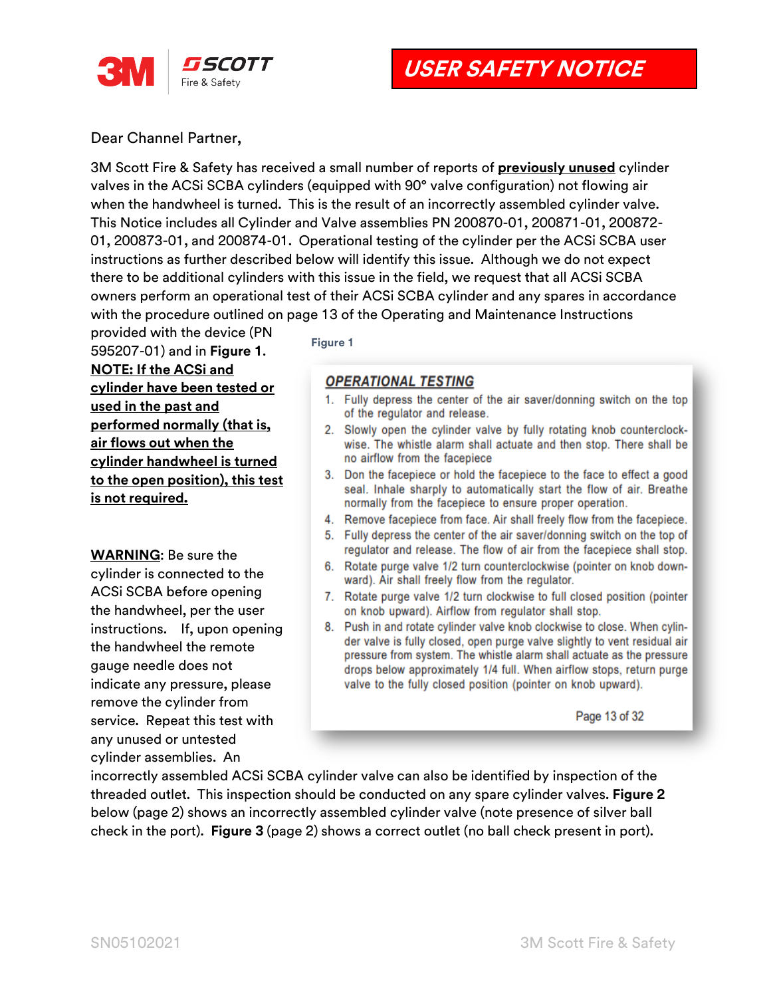

**USER SAFETY NOTICE**

Dear Channel Partner,

3M Scott Fire & Safety has received a small number of reports of **previously unused** cylinder valves in the ACSi SCBA cylinders (equipped with 90° valve configuration) not flowing air when the handwheel is turned. This is the result of an incorrectly assembled cylinder valve. This Notice includes all Cylinder and Valve assemblies PN 200870-01, 200871-01, 200872- 01, 200873-01, and 200874-01. Operational testing of the cylinder per the ACSi SCBA user instructions as further described below will identify this issue. Although we do not expect there to be additional cylinders with this issue in the field, we request that all ACSi SCBA owners perform an operational test of their ACSi SCBA cylinder and any spares in accordance with the procedure outlined on page 13 of the Operating and Maintenance Instructions

provided with the device (PN 595207-01) and in **Figure 1**. **NOTE: If the ACSi and cylinder have been tested or used in the past and performed normally (that is, air flows out when the cylinder handwheel is turned to the open position), this test is not required.**

**WARNING**: Be sure the cylinder is connected to the ACSi SCBA before opening the handwheel, per the user instructions. If, upon opening the handwheel the remote gauge needle does not indicate any pressure, please remove the cylinder from service. Repeat this test with any unused or untested cylinder assemblies. An

**Figure 1**

## **OPERATIONAL TESTING**

- 1. Fully depress the center of the air saver/donning switch on the top of the regulator and release.
- 2. Slowly open the cylinder valve by fully rotating knob counterclockwise. The whistle alarm shall actuate and then stop. There shall be no airflow from the facepiece
- 3. Don the facepiece or hold the facepiece to the face to effect a good seal. Inhale sharply to automatically start the flow of air. Breathe normally from the facepiece to ensure proper operation.
- 4. Remove facepiece from face. Air shall freely flow from the facepiece.
- 5. Fully depress the center of the air saver/donning switch on the top of regulator and release. The flow of air from the facepiece shall stop.
- 6. Rotate purge valve 1/2 turn counterclockwise (pointer on knob downward). Air shall freely flow from the regulator.
- 7. Rotate purge valve 1/2 turn clockwise to full closed position (pointer on knob upward). Airflow from regulator shall stop.
- 8. Push in and rotate cylinder valve knob clockwise to close. When cylinder valve is fully closed, open purge valve slightly to vent residual air pressure from system. The whistle alarm shall actuate as the pressure drops below approximately 1/4 full. When airflow stops, return purge valve to the fully closed position (pointer on knob upward).

Page 13 of 32

incorrectly assembled ACSi SCBA cylinder valve can also be identified by inspection of the threaded outlet. This inspection should be conducted on any spare cylinder valves. **Figure 2** below (page 2) shows an incorrectly assembled cylinder valve (note presence of silver ball check in the port). **Figure 3** (page 2) shows a correct outlet (no ball check present in port).